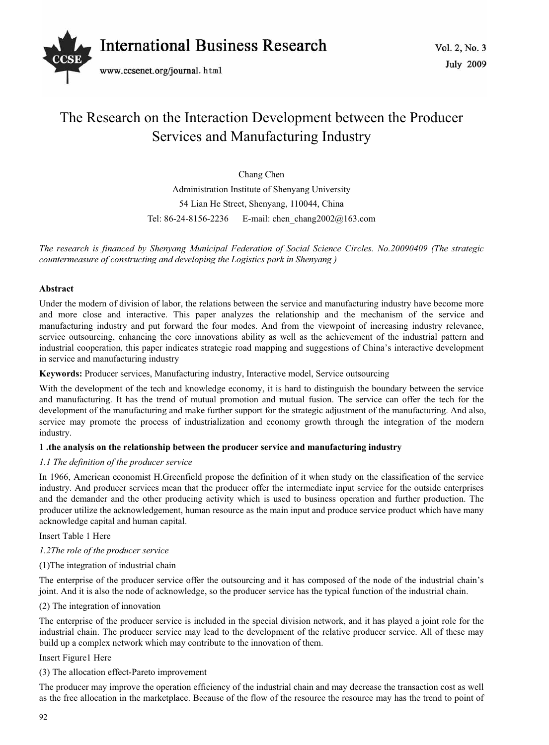

# The Research on the Interaction Development between the Producer Services and Manufacturing Industry

Chang Chen Administration Institute of Shenyang University 54 Lian He Street, Shenyang, 110044, China Tel: 86-24-8156-2236 E-mail: chen\_chang2002@163.com

*The research is financed by Shenyang Municipal Federation of Social Science Circles. No.20090409 (The strategic countermeasure of constructing and developing the Logistics park in Shenyang )* 

## **Abstract**

Under the modern of division of labor, the relations between the service and manufacturing industry have become more and more close and interactive. This paper analyzes the relationship and the mechanism of the service and manufacturing industry and put forward the four modes. And from the viewpoint of increasing industry relevance, service outsourcing, enhancing the core innovations ability as well as the achievement of the industrial pattern and industrial cooperation, this paper indicates strategic road mapping and suggestions of China's interactive development in service and manufacturing industry

**Keywords:** Producer services, Manufacturing industry, Interactive model, Service outsourcing

With the development of the tech and knowledge economy, it is hard to distinguish the boundary between the service and manufacturing. It has the trend of mutual promotion and mutual fusion. The service can offer the tech for the development of the manufacturing and make further support for the strategic adjustment of the manufacturing. And also, service may promote the process of industrialization and economy growth through the integration of the modern industry.

# **1 .the analysis on the relationship between the producer service and manufacturing industry**

## *1.1 The definition of the producer service*

In 1966, American economist H.Greenfield propose the definition of it when study on the classification of the service industry. And producer services mean that the producer offer the intermediate input service for the outside enterprises and the demander and the other producing activity which is used to business operation and further production. The producer utilize the acknowledgement, human resource as the main input and produce service product which have many acknowledge capital and human capital.

#### Insert Table 1 Here

- *1.2The role of the producer service*
- (1)The integration of industrial chain

The enterprise of the producer service offer the outsourcing and it has composed of the node of the industrial chain's joint. And it is also the node of acknowledge, so the producer service has the typical function of the industrial chain.

# (2) The integration of innovation

The enterprise of the producer service is included in the special division network, and it has played a joint role for the industrial chain. The producer service may lead to the development of the relative producer service. All of these may build up a complex network which may contribute to the innovation of them.

#### Insert Figure1 Here

(3) The allocation effect-Pareto improvement

The producer may improve the operation efficiency of the industrial chain and may decrease the transaction cost as well as the free allocation in the marketplace. Because of the flow of the resource the resource may has the trend to point of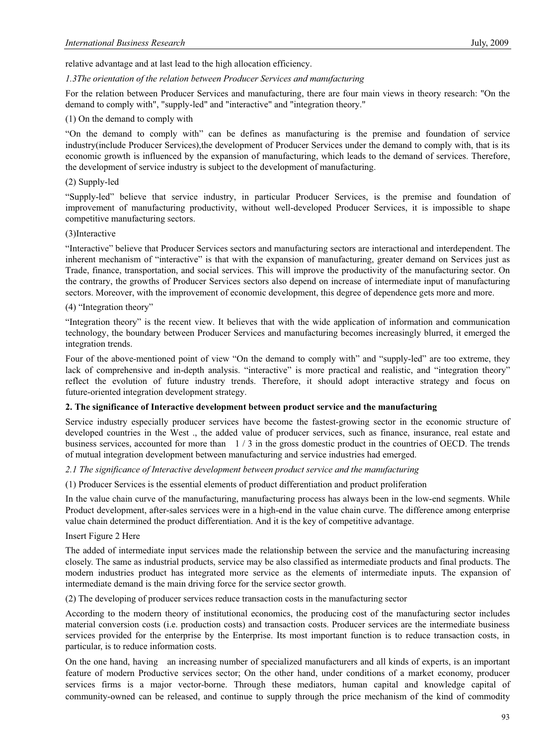relative advantage and at last lead to the high allocation efficiency.

#### *1.3The orientation of the relation between Producer Services and manufacturing*

For the relation between Producer Services and manufacturing, there are four main views in theory research: "On the demand to comply with", "supply-led" and "interactive" and "integration theory."

#### (1) On the demand to comply with

"On the demand to comply with" can be defines as manufacturing is the premise and foundation of service industry(include Producer Services),the development of Producer Services under the demand to comply with, that is its economic growth is influenced by the expansion of manufacturing, which leads to the demand of services. Therefore, the development of service industry is subject to the development of manufacturing.

#### (2) Supply-led

"Supply-led" believe that service industry, in particular Producer Services, is the premise and foundation of improvement of manufacturing productivity, without well-developed Producer Services, it is impossible to shape competitive manufacturing sectors.

#### (3)Interactive

"Interactive" believe that Producer Services sectors and manufacturing sectors are interactional and interdependent. The inherent mechanism of "interactive" is that with the expansion of manufacturing, greater demand on Services just as Trade, finance, transportation, and social services. This will improve the productivity of the manufacturing sector. On the contrary, the growths of Producer Services sectors also depend on increase of intermediate input of manufacturing sectors. Moreover, with the improvement of economic development, this degree of dependence gets more and more.

## (4) "Integration theory"

"Integration theory" is the recent view. It believes that with the wide application of information and communication technology, the boundary between Producer Services and manufacturing becomes increasingly blurred, it emerged the integration trends.

Four of the above-mentioned point of view "On the demand to comply with" and "supply-led" are too extreme, they lack of comprehensive and in-depth analysis. "interactive" is more practical and realistic, and "integration theory" reflect the evolution of future industry trends. Therefore, it should adopt interactive strategy and focus on future-oriented integration development strategy.

#### **2. The significance of Interactive development between product service and the manufacturing**

Service industry especially producer services have become the fastest-growing sector in the economic structure of developed countries in the West ., the added value of producer services, such as finance, insurance, real estate and business services, accounted for more than 1 / 3 in the gross domestic product in the countries of OECD. The trends of mutual integration development between manufacturing and service industries had emerged.

#### *2.1 The significance of Interactive development between product service and the manufacturing*

(1) Producer Services is the essential elements of product differentiation and product proliferation

In the value chain curve of the manufacturing, manufacturing process has always been in the low-end segments. While Product development, after-sales services were in a high-end in the value chain curve. The difference among enterprise value chain determined the product differentiation. And it is the key of competitive advantage.

#### Insert Figure 2 Here

The added of intermediate input services made the relationship between the service and the manufacturing increasing closely. The same as industrial products, service may be also classified as intermediate products and final products. The modern industries product has integrated more service as the elements of intermediate inputs. The expansion of intermediate demand is the main driving force for the service sector growth.

(2) The developing of producer services reduce transaction costs in the manufacturing sector

According to the modern theory of institutional economics, the producing cost of the manufacturing sector includes material conversion costs (i.e. production costs) and transaction costs. Producer services are the intermediate business services provided for the enterprise by the Enterprise. Its most important function is to reduce transaction costs, in particular, is to reduce information costs.

On the one hand, having an increasing number of specialized manufacturers and all kinds of experts, is an important feature of modern Productive services sector; On the other hand, under conditions of a market economy, producer services firms is a major vector-borne. Through these mediators, human capital and knowledge capital of community-owned can be released, and continue to supply through the price mechanism of the kind of commodity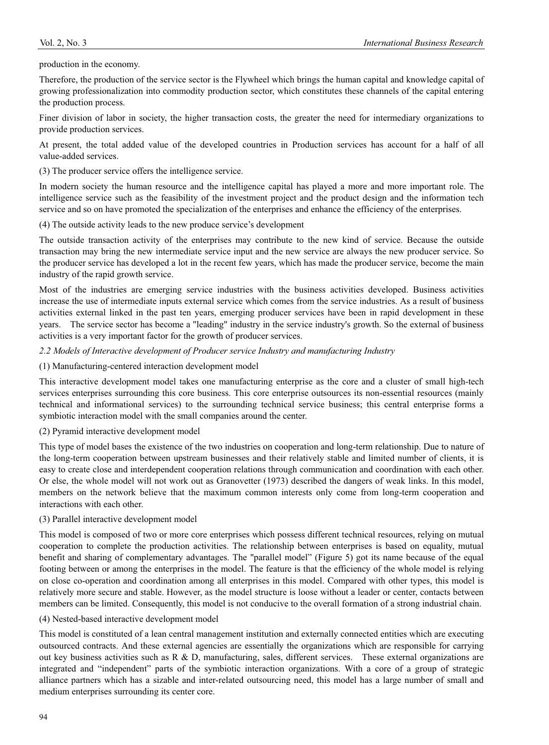production in the economy.

Therefore, the production of the service sector is the Flywheel which brings the human capital and knowledge capital of growing professionalization into commodity production sector, which constitutes these channels of the capital entering the production process.

Finer division of labor in society, the higher transaction costs, the greater the need for intermediary organizations to provide production services.

At present, the total added value of the developed countries in Production services has account for a half of all value-added services.

(3) The producer service offers the intelligence service.

In modern society the human resource and the intelligence capital has played a more and more important role. The intelligence service such as the feasibility of the investment project and the product design and the information tech service and so on have promoted the specialization of the enterprises and enhance the efficiency of the enterprises.

(4) The outside activity leads to the new produce service's development

The outside transaction activity of the enterprises may contribute to the new kind of service. Because the outside transaction may bring the new intermediate service input and the new service are always the new producer service. So the producer service has developed a lot in the recent few years, which has made the producer service, become the main industry of the rapid growth service.

Most of the industries are emerging service industries with the business activities developed. Business activities increase the use of intermediate inputs external service which comes from the service industries. As a result of business activities external linked in the past ten years, emerging producer services have been in rapid development in these years. The service sector has become a "leading" industry in the service industry's growth. So the external of business activities is a very important factor for the growth of producer services.

*2.2 Models of Interactive development of Producer service Industry and manufacturing Industry* 

(1) Manufacturing-centered interaction development model

This interactive development model takes one manufacturing enterprise as the core and a cluster of small high-tech services enterprises surrounding this core business. This core enterprise outsources its non-essential resources (mainly technical and informational services) to the surrounding technical service business; this central enterprise forms a symbiotic interaction model with the small companies around the center.

(2) Pyramid interactive development model

This type of model bases the existence of the two industries on cooperation and long-term relationship. Due to nature of the long-term cooperation between upstream businesses and their relatively stable and limited number of clients, it is easy to create close and interdependent cooperation relations through communication and coordination with each other. Or else, the whole model will not work out as Granovetter (1973) described the dangers of weak links. In this model, members on the network believe that the maximum common interests only come from long-term cooperation and interactions with each other.

#### (3) Parallel interactive development model

This model is composed of two or more core enterprises which possess different technical resources, relying on mutual cooperation to complete the production activities. The relationship between enterprises is based on equality, mutual benefit and sharing of complementary advantages. The "parallel model" (Figure 5) got its name because of the equal footing between or among the enterprises in the model. The feature is that the efficiency of the whole model is relying on close co-operation and coordination among all enterprises in this model. Compared with other types, this model is relatively more secure and stable. However, as the model structure is loose without a leader or center, contacts between members can be limited. Consequently, this model is not conducive to the overall formation of a strong industrial chain.

(4) Nested-based interactive development model

This model is constituted of a lean central management institution and externally connected entities which are executing outsourced contracts. And these external agencies are essentially the organizations which are responsible for carrying out key business activities such as R & D, manufacturing, sales, different services. These external organizations are integrated and "independent" parts of the symbiotic interaction organizations. With a core of a group of strategic alliance partners which has a sizable and inter-related outsourcing need, this model has a large number of small and medium enterprises surrounding its center core.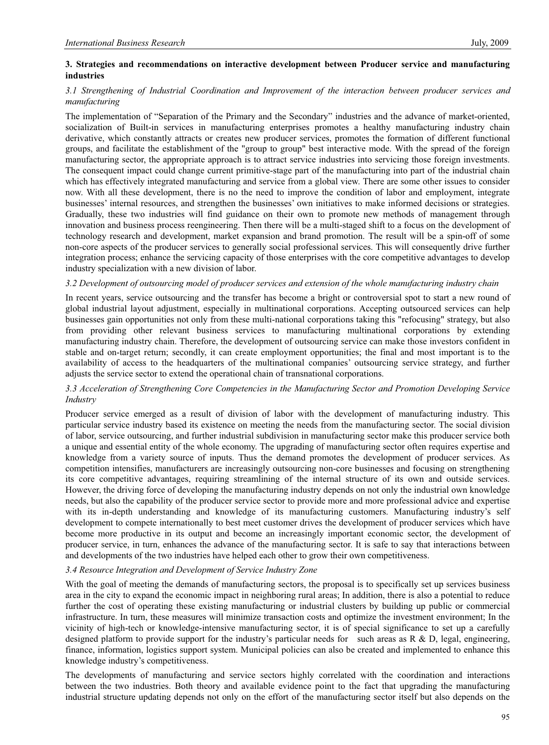## **3. Strategies and recommendations on interactive development between Producer service and manufacturing industries**

## *3.1 Strengthening of Industrial Coordination and Improvement of the interaction between producer services and manufacturing*

The implementation of "Separation of the Primary and the Secondary" industries and the advance of market-oriented, socialization of Built-in services in manufacturing enterprises promotes a healthy manufacturing industry chain derivative, which constantly attracts or creates new producer services, promotes the formation of different functional groups, and facilitate the establishment of the "group to group" best interactive mode. With the spread of the foreign manufacturing sector, the appropriate approach is to attract service industries into servicing those foreign investments. The consequent impact could change current primitive-stage part of the manufacturing into part of the industrial chain which has effectively integrated manufacturing and service from a global view. There are some other issues to consider now. With all these development, there is no the need to improve the condition of labor and employment, integrate businesses' internal resources, and strengthen the businesses' own initiatives to make informed decisions or strategies. Gradually, these two industries will find guidance on their own to promote new methods of management through innovation and business process reengineering. Then there will be a multi-staged shift to a focus on the development of technology research and development, market expansion and brand promotion. The result will be a spin-off of some non-core aspects of the producer services to generally social professional services. This will consequently drive further integration process; enhance the servicing capacity of those enterprises with the core competitive advantages to develop industry specialization with a new division of labor.

#### *3.2 Development of outsourcing model of producer services and extension of the whole manufacturing industry chain*

In recent years, service outsourcing and the transfer has become a bright or controversial spot to start a new round of global industrial layout adjustment, especially in multinational corporations. Accepting outsourced services can help businesses gain opportunities not only from these multi-national corporations taking this "refocusing" strategy, but also from providing other relevant business services to manufacturing multinational corporations by extending manufacturing industry chain. Therefore, the development of outsourcing service can make those investors confident in stable and on-target return; secondly, it can create employment opportunities; the final and most important is to the availability of access to the headquarters of the multinational companies' outsourcing service strategy, and further adjusts the service sector to extend the operational chain of transnational corporations.

## *3.3 Acceleration of Strengthening Core Competencies in the Manufacturing Sector and Promotion Developing Service Industry*

Producer service emerged as a result of division of labor with the development of manufacturing industry. This particular service industry based its existence on meeting the needs from the manufacturing sector. The social division of labor, service outsourcing, and further industrial subdivision in manufacturing sector make this producer service both a unique and essential entity of the whole economy. The upgrading of manufacturing sector often requires expertise and knowledge from a variety source of inputs. Thus the demand promotes the development of producer services. As competition intensifies, manufacturers are increasingly outsourcing non-core businesses and focusing on strengthening its core competitive advantages, requiring streamlining of the internal structure of its own and outside services. However, the driving force of developing the manufacturing industry depends on not only the industrial own knowledge needs, but also the capability of the producer service sector to provide more and more professional advice and expertise with its in-depth understanding and knowledge of its manufacturing customers. Manufacturing industry's self development to compete internationally to best meet customer drives the development of producer services which have become more productive in its output and become an increasingly important economic sector, the development of producer service, in turn, enhances the advance of the manufacturing sector. It is safe to say that interactions between and developments of the two industries have helped each other to grow their own competitiveness.

#### *3.4 Resource Integration and Development of Service Industry Zone*

With the goal of meeting the demands of manufacturing sectors, the proposal is to specifically set up services business area in the city to expand the economic impact in neighboring rural areas; In addition, there is also a potential to reduce further the cost of operating these existing manufacturing or industrial clusters by building up public or commercial infrastructure. In turn, these measures will minimize transaction costs and optimize the investment environment; In the vicinity of high-tech or knowledge-intensive manufacturing sector, it is of special significance to set up a carefully designed platform to provide support for the industry's particular needs for such areas as R & D, legal, engineering, finance, information, logistics support system. Municipal policies can also be created and implemented to enhance this knowledge industry's competitiveness.

The developments of manufacturing and service sectors highly correlated with the coordination and interactions between the two industries. Both theory and available evidence point to the fact that upgrading the manufacturing industrial structure updating depends not only on the effort of the manufacturing sector itself but also depends on the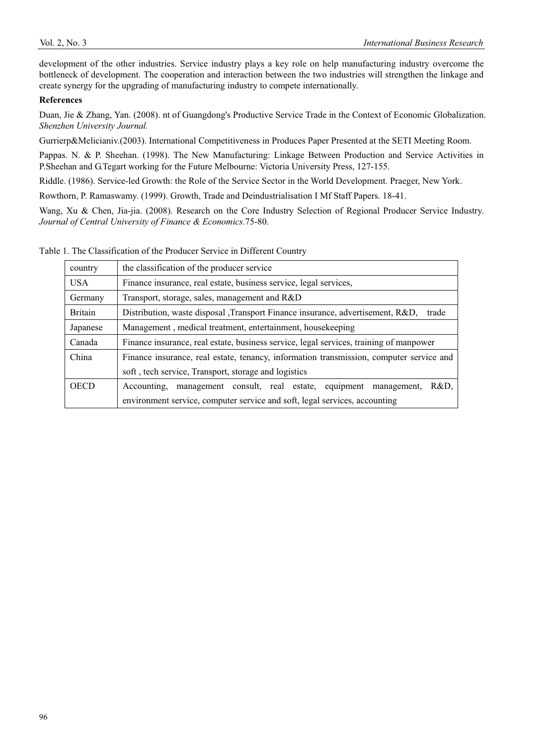development of the other industries. Service industry plays a key role on help manufacturing industry overcome the bottleneck of development. The cooperation and interaction between the two industries will strengthen the linkage and create synergy for the upgrading of manufacturing industry to compete internationally.

## **References**

Duan, Jie & Zhang, Yan. (2008). nt of Guangdong's Productive Service Trade in the Context of Economic Globalization. *Shenzhen University Journal.*

Gurrierp&Melicianiv.(2003). International Competitiveness in Produces Paper Presented at the SETI Meeting Room.

Pappas. N. & P. Sheehan. (1998). The New Manufacturing: Linkage Between Production and Service Activities in P.Sheehan and G.Tegart working for the Future Melbourne: Victoria University Press, 127-155.

Riddle. (1986). Service-led Growth: the Role of the Service Sector in the World Development. Praeger, New York.

Rowthorn, P. Ramaswamy. (1999). Growth, Trade and Deindustrialisation I Mf Staff Papers. 18-41.

Wang, Xu & Chen, Jia-jia. (2008). Research on the Core Industry Selection of Regional Producer Service Industry. *Journal of Central University of Finance & Economics.*75-80.

Table 1. The Classification of the Producer Service in Different Country

| country     | the classification of the producer service                                              |
|-------------|-----------------------------------------------------------------------------------------|
| USA         | Finance insurance, real estate, business service, legal services,                       |
| Germany     | Transport, storage, sales, management and R&D                                           |
| Britain     | Distribution, waste disposal , Transport Finance insurance, advertisement, R&D, trade   |
| Japanese    | Management, medical treatment, entertainment, housekeeping                              |
| Canada      | Finance insurance, real estate, business service, legal services, training of manpower  |
| China       | Finance insurance, real estate, tenancy, information transmission, computer service and |
|             | soft, tech service, Transport, storage and logistics                                    |
| <b>OECD</b> | Accounting, management consult, real estate, equipment management,<br>R&D.              |
|             | environment service, computer service and soft, legal services, accounting              |